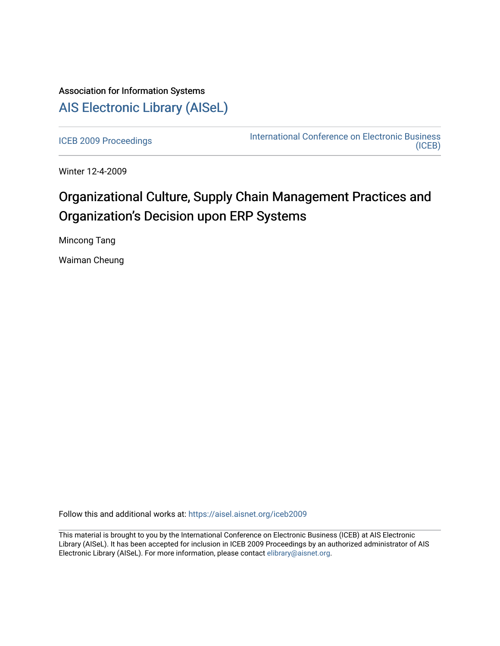# Association for Information Systems [AIS Electronic Library \(AISeL\)](https://aisel.aisnet.org/)

[ICEB 2009 Proceedings](https://aisel.aisnet.org/iceb2009) **International Conference on Electronic Business** [\(ICEB\)](https://aisel.aisnet.org/iceb) 

Winter 12-4-2009

# Organizational Culture, Supply Chain Management Practices and Organization's Decision upon ERP Systems

Mincong Tang

Waiman Cheung

Follow this and additional works at: [https://aisel.aisnet.org/iceb2009](https://aisel.aisnet.org/iceb2009?utm_source=aisel.aisnet.org%2Ficeb2009%2F81&utm_medium=PDF&utm_campaign=PDFCoverPages)

This material is brought to you by the International Conference on Electronic Business (ICEB) at AIS Electronic Library (AISeL). It has been accepted for inclusion in ICEB 2009 Proceedings by an authorized administrator of AIS Electronic Library (AISeL). For more information, please contact [elibrary@aisnet.org.](mailto:elibrary@aisnet.org%3E)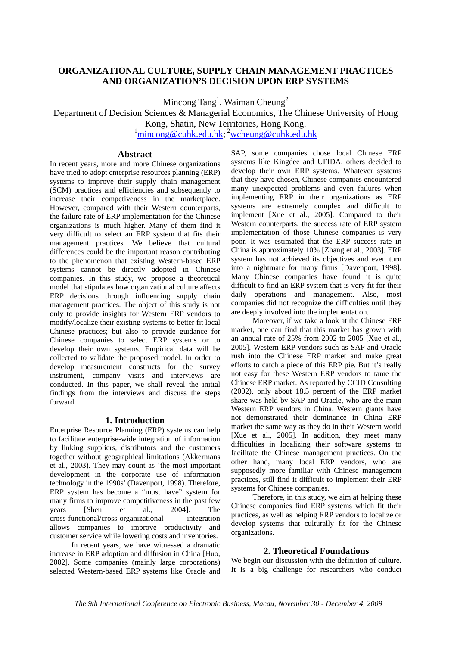# **ORGANIZATIONAL CULTURE, SUPPLY CHAIN MANAGEMENT PRACTICES AND ORGANIZATION'S DECISION UPON ERP SYSTEMS**

Mincong Tang<sup>1</sup>, Waiman Cheung<sup>2</sup>

Department of Decision Sciences & Managerial Economics, The Chinese University of Hong Kong, Shatin, New Territories, Hong Kong.

<sup>1</sup>mincong@cuhk.edu.hk; <sup>2</sup>wcheung@cuhk.edu.hk

### **Abstract**

In recent years, more and more Chinese organizations have tried to adopt enterprise resources planning (ERP) systems to improve their supply chain management (SCM) practices and efficiencies and subsequently to increase their competiveness in the marketplace. However, compared with their Western counterparts, the failure rate of ERP implementation for the Chinese organizations is much higher. Many of them find it very difficult to select an ERP system that fits their management practices. We believe that cultural differences could be the important reason contributing to the phenomenon that existing Western-based ERP systems cannot be directly adopted in Chinese companies. In this study, we propose a theoretical model that stipulates how organizational culture affects ERP decisions through influencing supply chain management practices. The object of this study is not only to provide insights for Western ERP vendors to modify/localize their existing systems to better fit local Chinese practices; but also to provide guidance for Chinese companies to select ERP systems or to develop their own systems. Empirical data will be collected to validate the proposed model. In order to develop measurement constructs for the survey instrument, company visits and interviews are conducted. In this paper, we shall reveal the initial findings from the interviews and discuss the steps forward.

# **1. Introduction**

Enterprise Resource Planning (ERP) systems can help to facilitate enterprise-wide integration of information by linking suppliers, distributors and the customers together without geographical limitations (Akkermans et al., 2003). They may count as 'the most important development in the corporate use of information technology in the 1990s' (Davenport, 1998). Therefore, ERP system has become a "must have" system for many firms to improve competitiveness in the past few years [Sheu et al., 2004]. The cross-functional/cross-organizational integration allows companies to improve productivity and customer service while lowering costs and inventories.

In recent years, we have witnessed a dramatic increase in ERP adoption and diffusion in China [Huo, 2002]. Some companies (mainly large corporations) selected Western-based ERP systems like Oracle and SAP, some companies chose local Chinese ERP systems like Kingdee and UFIDA, others decided to develop their own ERP systems. Whatever systems that they have chosen, Chinese companies encountered many unexpected problems and even failures when implementing ERP in their organizations as ERP systems are extremely complex and difficult to implement [Xue et al., 2005]. Compared to their Western counterparts, the success rate of ERP system implementation of those Chinese companies is very poor. It was estimated that the ERP success rate in China is approximately 10% [Zhang et al., 2003]. ERP system has not achieved its objectives and even turn into a nightmare for many firms [Davenport, 1998]. Many Chinese companies have found it is quite difficult to find an ERP system that is very fit for their daily operations and management. Also, most companies did not recognize the difficulties until they are deeply involved into the implementation.

Moreover, if we take a look at the Chinese ERP market, one can find that this market has grown with an annual rate of 25% from 2002 to 2005 [Xue et al., 2005]. Western ERP vendors such as SAP and Oracle rush into the Chinese ERP market and make great efforts to catch a piece of this ERP pie. But it's really not easy for these Western ERP vendors to tame the Chinese ERP market. As reported by CCID Consulting (2002), only about 18.5 percent of the ERP market share was held by SAP and Oracle, who are the main Western ERP vendors in China. Western giants have not demonstrated their dominance in China ERP market the same way as they do in their Western world [Xue et al., 2005]. In addition, they meet many difficulties in localizing their software systems to facilitate the Chinese management practices. On the other hand, many local ERP vendors, who are supposedly more familiar with Chinese management practices, still find it difficult to implement their ERP systems for Chinese companies.

Therefore, in this study, we aim at helping these Chinese companies find ERP systems which fit their practices, as well as helping ERP vendors to localize or develop systems that culturally fit for the Chinese organizations.

### **2. Theoretical Foundations**

We begin our discussion with the definition of culture. It is a big challenge for researchers who conduct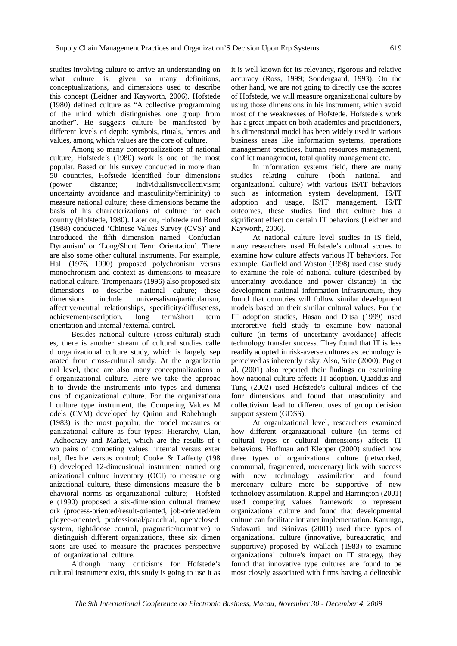studies involving culture to arrive an understanding on what culture is, given so many definitions, conceptualizations, and dimensions used to describe this concept (Leidner and Kayworth, 2006). Hofstede (1980) defined culture as "A collective programming of the mind which distinguishes one group from another". He suggests culture be manifested by different levels of depth: symbols, rituals, heroes and values, among which values are the core of culture.

Among so many conceptualizations of national culture, Hofstede's (1980) work is one of the most popular. Based on his survey conducted in more than 50 countries, Hofstede identified four dimensions (power distance; individualism/collectivism; uncertainty avoidance and masculinity/femininity) to measure national culture; these dimensions became the basis of his characterizations of culture for each country (Hofstede, 1980). Later on, Hofstede and Bond (1988) conducted 'Chinese Values Survey (CVS)' and introduced the fifth dimension named 'Confucian Dynamism' or 'Long/Short Term Orientation'. There are also some other cultural instruments. For example, Hall (1976, 1990) proposed polychronism versus monochronism and context as dimensions to measure national culture. Trompenaars (1996) also proposed six dimensions to describe national culture; these dimensions include universalism/particularism, affective/neutral relationships, specificity/diffuseness, achievement/ascription, long term/short term orientation and internal /external control.

Besides national culture (cross-cultural) studi es, there is another stream of cultural studies calle d organizational culture study, which is largely sep arated from cross-cultural study. At the organizatio nal level, there are also many conceptualizations o f organizational culture. Here we take the approac h to divide the instruments into types and dimensi ons of organizational culture. For the organizationa l culture type instrument, the Competing Values M odels (CVM) developed by Quinn and Rohebaugh (1983) is the most popular, the model measures or ganizational culture as four types: Hierarchy, Clan, Adhocracy and Market, which are the results of t wo pairs of competing values: internal versus exter nal, flexible versus control; Cooke & Lafferty (198 6) developed 12-dimensional instrument named org anizational culture inventory (OCI) to measure org anizational culture, these dimensions measure the b ehavioral norms as organizational culture; Hofsted e (1990) proposed a six-dimension cultural framew ork (process-oriented/result-oriented, job-oriented/em ployee-oriented, professional/parochial, open/closed system, tight/loose control, pragmatic/normative) to distinguish different organizations, these six dimen sions are used to measure the practices perspective of organizational culture.

Although many criticisms for Hofstede's cultural instrument exist, this study is going to use it as it is well known for its relevancy, rigorous and relative accuracy (Ross, 1999; Sondergaard, 1993). On the other hand, we are not going to directly use the scores of Hofstede, we will measure organizational culture by using those dimensions in his instrument, which avoid most of the weaknesses of Hofstede. Hofstede's work has a great impact on both academics and practitioners, his dimensional model has been widely used in various business areas like information systems, operations management practices, human resources management, conflict management, total quality management etc.

In information systems field, there are many studies relating culture (both national and organizational culture) with various IS/IT behaviors such as information system development, IS/IT adoption and usage, IS/IT management, IS/IT outcomes, these studies find that culture has a significant effect on certain IT behaviors (Leidner and Kayworth, 2006).

At national culture level studies in IS field, many researchers used Hofstede's cultural scores to examine how culture affects various IT behaviors. For example, Garfield and Waston (1998) used case study to examine the role of national culture (described by uncertainty avoidance and power distance) in the development national information infrastructure, they found that countries will follow similar development models based on their similar cultural values. For the IT adoption studies, Hasan and Ditsa (1999) used interpretive field study to examine how national culture (in terms of uncertainty avoidance) affects technology transfer success. They found that IT is less readily adopted in risk-averse cultures as technology is perceived as inherently risky. Also, Srite (2000), Png et al. (2001) also reported their findings on examining how national culture affects IT adoption. Quaddus and Tung (2002) used Hofstede's cultural indices of the four dimensions and found that masculinity and collectivism lead to different uses of group decision support system (GDSS).

At organizational level, researchers examined how different organizational culture (in terms of cultural types or cultural dimensions) affects IT behaviors. Hoffman and Klepper (2000) studied how three types of organizational culture (networked, communal, fragmented, mercenary) link with success with new technology assimilation and found mercenary culture more be supportive of new technology assimilation. Ruppel and Harrington (2001) used competing values framework to represent organizational culture and found that developmental culture can facilitate intranet implementation. Kanungo, Sadavarti, and Srinivas (2001) used three types of organizational culture (innovative, bureaucratic, and supportive) proposed by Wallach (1983) to examine organizational culture's impact on IT strategy, they found that innovative type cultures are found to be most closely associated with firms having a delineable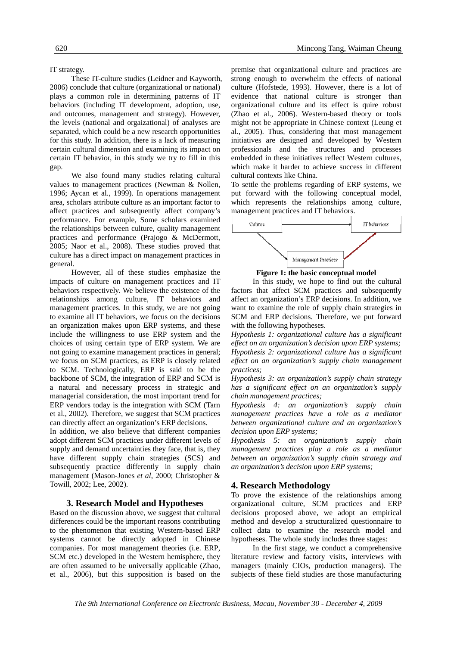IT strategy.

These IT-culture studies (Leidner and Kayworth, 2006) conclude that culture (organizational or national) plays a common role in determining patterns of IT behaviors (including IT development, adoption, use, and outcomes, management and strategy). However, the levels (national and orgaizational) of analyses are separated, which could be a new research opportunities for this study. In addition, there is a lack of measuring certain cultural dimension and examining its impact on certain IT behavior, in this study we try to fill in this gap.

We also found many studies relating cultural values to management practices (Newman & Nollen, 1996; Aycan et al., 1999). In operations management area, scholars attribute culture as an important factor to affect practices and subsequently affect company's performance. For example, Some scholars examined the relationships between culture, quality management practices and performance (Prajogo & McDermott, 2005; Naor et al., 2008). These studies proved that culture has a direct impact on management practices in general.

However, all of these studies emphasize the impacts of culture on management practices and IT behaviors respectively. We believe the existence of the relationships among culture, IT behaviors and management practices. In this study, we are not going to examine all IT behaviors, we focus on the decisions an organization makes upon ERP systems, and these include the willingness to use ERP system and the choices of using certain type of ERP system. We are not going to examine management practices in general; we focus on SCM practices, as ERP is closely related to SCM. Technologically, ERP is said to be the backbone of SCM, the integration of ERP and SCM is a natural and necessary process in strategic and managerial consideration, the most important trend for ERP vendors today is the integration with SCM (Tarn et al., 2002). Therefore, we suggest that SCM practices can directly affect an organization's ERP decisions.

In addition, we also believe that different companies adopt different SCM practices under different levels of supply and demand uncertainties they face, that is, they have different supply chain strategies (SCS) and subsequently practice differently in supply chain management (Mason-Jones *et al*, 2000; Christopher & Towill, 2002; Lee, 2002).

#### **3. Research Model and Hypotheses**

Based on the discussion above, we suggest that cultural differences could be the important reasons contributing to the phenomenon that existing Western-based ERP systems cannot be directly adopted in Chinese companies. For most management theories (i.e. ERP, SCM etc.) developed in the Western hemisphere, they are often assumed to be universally applicable (Zhao, et al., 2006), but this supposition is based on the premise that organizational culture and practices are strong enough to overwhelm the effects of national culture (Hofstede, 1993). However, there is a lot of evidence that national culture is stronger than organizational culture and its effect is quire robust (Zhao et al., 2006). Western-based theory or tools might not be appropriate in Chinese context (Leung et al., 2005). Thus, considering that most management initiatives are designed and developed by Western professionals and the structures and processes embedded in these initiatives reflect Western cultures, which make it harder to achieve success in different cultural contexts like China.

To settle the problems regarding of ERP systems, we put forward with the following conceptual model, which represents the relationships among culture, management practices and IT behaviors.



**Figure 1: the basic conceptual model** 

In this study, we hope to find out the cultural factors that affect SCM practices and subsequently affect an organization's ERP decisions. In addition, we want to examine the role of supply chain strategies in SCM and ERP decisions. Therefore, we put forward with the following hypotheses.

*Hypothesis 1: organizational culture has a significant effect on an organization's decision upon ERP systems; Hypothesis 2: organizational culture has a significant effect on an organization's supply chain management practices;* 

*Hypothesis 3: an organization's supply chain strategy has a significant effect on an organization's supply chain management practices;* 

*Hypothesis 4: an organization's supply chain management practices have a role as a mediator between organizational culture and an organization's decision upon ERP systems;* 

*Hypothesis 5: an organization's supply chain management practices play a role as a mediator between an organization's supply chain strategy and an organization's decision upon ERP systems;* 

# **4. Research Methodology**

To prove the existence of the relationships among organizational culture, SCM practices and ERP decisions proposed above, we adopt an empirical method and develop a structuralized questionnaire to collect data to examine the research model and hypotheses. The whole study includes three stages:

In the first stage, we conduct a comprehensive literature review and factory visits, interviews with managers (mainly CIOs, production managers). The subjects of these field studies are those manufacturing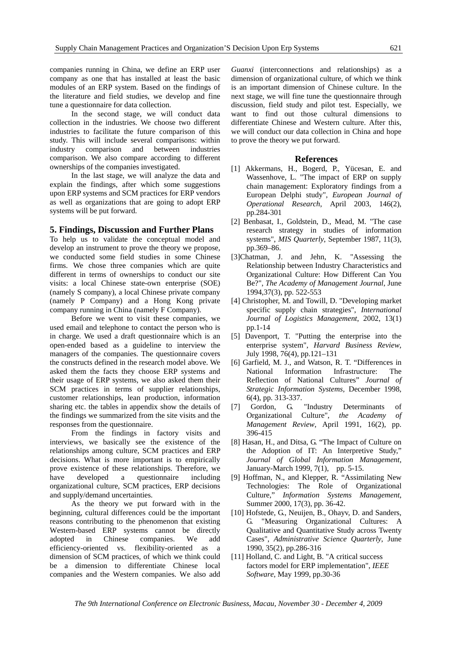companies running in China, we define an ERP user company as one that has installed at least the basic modules of an ERP system. Based on the findings of the literature and field studies, we develop and fine tune a questionnaire for data collection.

In the second stage, we will conduct data collection in the industries. We choose two different industries to facilitate the future comparison of this study. This will include several comparisons: within industry comparison and between industries comparison. We also compare according to different ownerships of the companies investigated.

In the last stage, we will analyze the data and explain the findings, after which some suggestions upon ERP systems and SCM practices for ERP vendors as well as organizations that are going to adopt ERP systems will be put forward.

#### **5. Findings, Discussion and Further Plans**

To help us to validate the conceptual model and develop an instrument to prove the theory we propose, we conducted some field studies in some Chinese firms. We chose three companies which are quite different in terms of ownerships to conduct our site visits: a local Chinese state-own enterprise (SOE) (namely S company), a local Chinese private company (namely P Company) and a Hong Kong private company running in China (namely F Company).

Before we went to visit these companies, we used email and telephone to contact the person who is in charge. We used a draft questionnaire which is an open-ended based as a guideline to interview the managers of the companies. The questionnaire covers the constructs defined in the research model above. We asked them the facts they choose ERP systems and their usage of ERP systems, we also asked them their SCM practices in terms of supplier relationships, customer relationships, lean production, information sharing etc. the tables in appendix show the details of the findings we summarized from the site visits and the responses from the questionnaire.

From the findings in factory visits and interviews, we basically see the existence of the relationships among culture, SCM practices and ERP decisions. What is more important is to empirically prove existence of these relationships. Therefore, we have developed a questionnaire including organizational culture, SCM practices, ERP decisions and supply/demand uncertainties.

As the theory we put forward with in the beginning, cultural differences could be the important reasons contributing to the phenomenon that existing Western-based ERP systems cannot be directly adopted in Chinese companies. We add efficiency-oriented vs. flexibility-oriented as a dimension of SCM practices, of which we think could be a dimension to differentiate Chinese local companies and the Western companies. We also add

*Guanxi* (interconnections and relationships) as a dimension of organizational culture, of which we think is an important dimension of Chinese culture. In the next stage, we will fine tune the questionnaire through discussion, field study and pilot test. Especially, we want to find out those cultural dimensions to differentiate Chinese and Western culture. After this, we will conduct our data collection in China and hope to prove the theory we put forward.

#### **References**

- [1] Akkermans, H., Bogerd, P., Yücesan, E. and Wassenhove, L. "The impact of ERP on supply chain management: Exploratory findings from a European Delphi study", *European Journal of Operational Research*, April 2003, 146(2), pp.284-301
- [2] Benbasat, I., Goldstein, D., Mead, M. "The case research strategy in studies of information systems", *MIS Quarterly*, September 1987, 11(3), pp.369–86.
- [3]Chatman, J. and Jehn, K. "Assessing the Relationship between Industry Characteristics and Organizational Culture: How Different Can You Be?", *The Academy of Management Journal*, June 1994,37(3), pp. 522-553
- [4] Christopher, M. and Towill, D. "Developing market specific supply chain strategies", *International Journal of Logistics Management*, 2002, 13(1) pp.1-14
- [5] Davenport, T. "Putting the enterprise into the enterprise system", *Harvard Business Review*, July 1998, 76(4), pp.121–131
- [6] Garfield, M. J., and Watson, R. T. "Differences in National Information Infrastructure: The Reflection of National Cultures" *Journal of Strategic Information Systems,* December 1998, 6(4), pp. 313-337.
- [7] Gordon, G. "Industry Determinants of Organizational Culture", *the Academy of Management Review*, April 1991, 16(2), pp. 396-415
- [8] Hasan, H., and Ditsa, G. "The Impact of Culture on the Adoption of IT: An Interpretive Study," *Journal of Global Information Management,* January-March 1999, 7(1), pp. 5-15.
- [9] Hoffman, N., and Klepper, R. "Assimilating New Technologies: The Role of Organizational Culture," *Information Systems Management*, Summer 2000, 17(3), pp. 36-42.
- [10] Hofstede, G., Neuijen, B., Ohayv, D. and Sanders, G. "Measuring Organizational Cultures: A Qualitative and Quantitative Study across Twenty Cases", *Administrative Science Quarterly*, June 1990, 35(2), pp.286-316
- [11] Holland, C. and Light, B. "A critical success factors model for ERP implementation", *IEEE Software*, May 1999, pp.30-36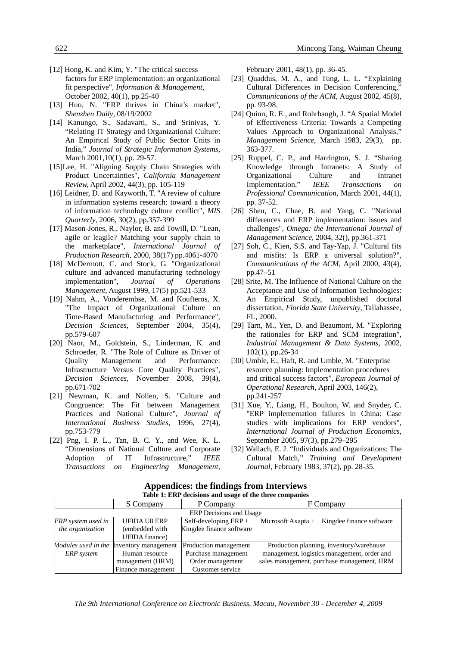- [12] Hong, K. and Kim, Y. "The critical success factors for ERP implementation: an organizational fit perspective", *Information & Management*, October 2002, 40(1), pp.25-40
- [13] Huo, N. "ERP thrives in China's market", *Shenzhen Daily*, 08/19/2002
- [14] Kanungo, S., Sadavarti, S., and Srinivas, Y. "Relating IT Strategy and Organizational Culture: An Empirical Study of Public Sector Units in India," *Journal of Strategic Information Systems*, March 2001,10(1), pp. 29-57.
- [15]Lee, H. "Aligning Supply Chain Strategies with Product Uncertainties", *California Management Review,* April 2002, 44(3), pp. 105-119
- [16] Leidner, D. and Kayworth, T. "A review of culture in information systems research: toward a theory of information technology culture conflict", *MIS Quarterly*, 2006, 30(2), pp.357-399
- [17] Mason-Jones, R., Naylor, B. and Towill, D. "Lean, agile or leagile? Matching your supply chain to the marketplace", *International Journal of Production Research*, 2000, 38(17) pp.4061-4070
- [18] McDermott, C. and Stock, G. "Organizational culture and advanced manufacturing technology implementation", *Journal of Operations Management*, August 1999, 17(5) pp.521-533
- [19] Nahm, A., Vonderembse, M. and Koufteros, X. "The Impact of Organizational Culture on Time-Based Manufacturing and Performance", *Decision Sciences,* September 2004, 35(4), pp.579-607
- [20] Naor, M., Goldstein, S., Linderman, K. and Schroeder, R. "The Role of Culture as Driver of Quality Management and Performance: Infrastructure Versus Core Quality Practices", *Decision Sciences*, November 2008, 39(4), pp.671-702
- [21] Newman, K. and Nollen, S. "Culture and Congruence: The Fit between Management Practices and National Culture", *Journal of International Business Studies*, 1996, 27(4), pp.753-779
- [22] Png, I. P. L., Tan, B. C. Y., and Wee, K. L. "Dimensions of National Culture and Corporate Adoption of IT Infrastructure," *IEEE Transactions on Engineering Management*,

February 2001, 48(1), pp. 36-45.

- [23] Quaddus, M. A., and Tung, L. L. "Explaining Cultural Differences in Decision Conferencing," *Communications of the ACM*, August 2002, 45(8), pp. 93-98.
- [24] Quinn, R. E., and Rohrbaugh, J. "A Spatial Model of Effectiveness Criteria: Towards a Competing Values Approach to Organizational Analysis," *Management Science*, March 1983, 29(3), pp. 363-377.
- [25] Ruppel, C. P., and Harrington, S. J. "Sharing Knowledge through Intranets: A Study of Organizational Culture and Intranet Implementation," *IEEE Transactions on Professional Communication*, March 2001, 44(1), pp. 37-52.
- [26] Sheu, C., Chae, B. and Yang, C. "National differences and ERP implementation: issues and challenges", *Omega: the International Journal of Management Science*, 2004, 32(), pp.361-371
- [27] Soh, C., Kien, S.S. and Tay-Yap, J. "Cultural fits and misfits: Is ERP a universal solution?", *Communications of the ACM*, April 2000, 43(4), pp.47–51
- [28] Srite, M. The Influence of National Culture on the Acceptance and Use of Information Technologies: An Empirical Study, unpublished doctoral dissertation, *Florida State University*, Tallahassee, FL, 2000.
- [29] Tarn, M., Yen, D. and Beaumont, M. "Exploring the rationales for ERP and SCM integration", *Industrial Management & Data Systems*, 2002, 102(1), pp.26-34
- [30] Umble, E., Haft, R. and Umble, M. "Enterprise resource planning: Implementation procedures and critical success factors", *European Journal of Operational Research*, April 2003, 146(2), pp.241-257
- [31] Xue, Y., Liang, H., Boulton, W. and Snyder, C. "ERP implementation failures in China: Case studies with implications for ERP vendors", *International Journal of Production Economics*, September 2005, 97(3), pp.279–295
- [32] Wallach, E. J. "Individuals and Organizations: The Cultural Match," *Training and Development Journal*, February 1983, 37(2), pp. 28-35.

|                                | S Company             | P Company                | F Company                                        |  |
|--------------------------------|-----------------------|--------------------------|--------------------------------------------------|--|
| <b>ERP</b> Decisions and Usage |                       |                          |                                                  |  |
| ERP system used in             | <b>UFIDA U8 ERP</b>   | Self-developing ERP +    | Kingdee finance software<br>Microsoft Axapta $+$ |  |
| the organization               | (embedded with        | Kingdee finance software |                                                  |  |
|                                | <b>UFIDA</b> finance) |                          |                                                  |  |
| Modules used in the            | Inventory management  | Production management    | Production planning, inventory/warehouse         |  |
| <b>ERP</b> system              | Human resource        | Purchase management      | management, logistics management, order and      |  |
|                                | management (HRM)      | Order management         | sales management, purchase management, HRM       |  |
|                                | Finance management    | Customer service         |                                                  |  |

#### **Appendices: the findings from Interviews Table 1: ERP decisions and usage of the three companies**